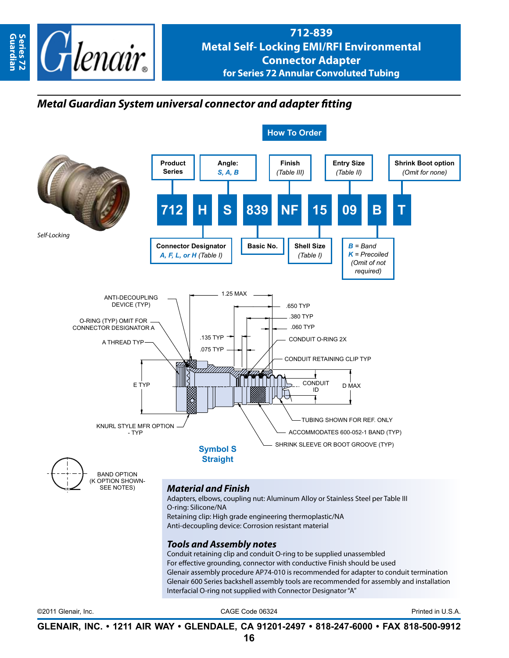

## *Metal Guardian System universal connector and adapter fitting*



©2011 Glenair, Inc. CAGE Code 06324 Printed in U.S.A.